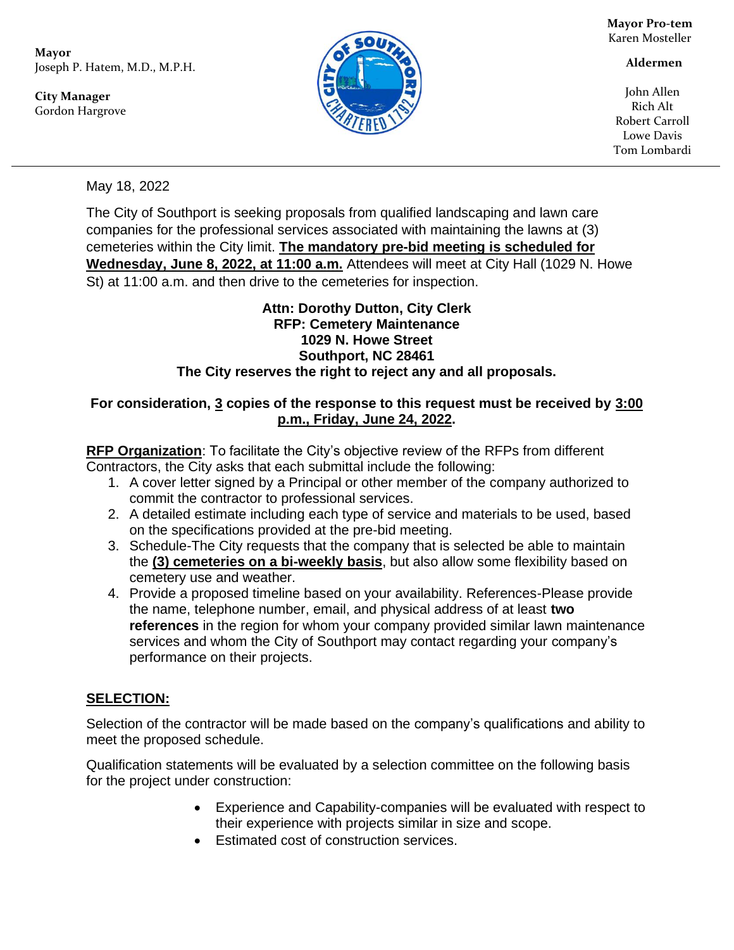**Mayor** Joseph P. Hatem, M.D., M.P.H.

**City Manager** Gordon Hargrove



**Mayor Pro-tem** Karen Mosteller

 **Aldermen**

John Allen Rich Alt Robert Carroll Lowe Davis Tom Lombardi

May 18, 2022

The City of Southport is seeking proposals from qualified landscaping and lawn care companies for the professional services associated with maintaining the lawns at (3) cemeteries within the City limit. **The mandatory pre-bid meeting is scheduled for Wednesday, June 8, 2022, at 11:00 a.m.** Attendees will meet at City Hall (1029 N. Howe St) at 11:00 a.m. and then drive to the cemeteries for inspection.

#### **Attn: Dorothy Dutton, City Clerk RFP: Cemetery Maintenance 1029 N. Howe Street Southport, NC 28461 The City reserves the right to reject any and all proposals.**

#### **For consideration, 3 copies of the response to this request must be received by 3:00 p.m., Friday, June 24, 2022.**

**RFP Organization**: To facilitate the City's objective review of the RFPs from different Contractors, the City asks that each submittal include the following:

- 1. A cover letter signed by a Principal or other member of the company authorized to commit the contractor to professional services.
- 2. A detailed estimate including each type of service and materials to be used, based on the specifications provided at the pre-bid meeting.
- 3. Schedule-The City requests that the company that is selected be able to maintain the **(3) cemeteries on a bi-weekly basis**, but also allow some flexibility based on cemetery use and weather.
- 4. Provide a proposed timeline based on your availability. References-Please provide the name, telephone number, email, and physical address of at least **two references** in the region for whom your company provided similar lawn maintenance services and whom the City of Southport may contact regarding your company's performance on their projects.

# **SELECTION:**

Selection of the contractor will be made based on the company's qualifications and ability to meet the proposed schedule.

Qualification statements will be evaluated by a selection committee on the following basis for the project under construction:

- Experience and Capability-companies will be evaluated with respect to their experience with projects similar in size and scope.
- Estimated cost of construction services.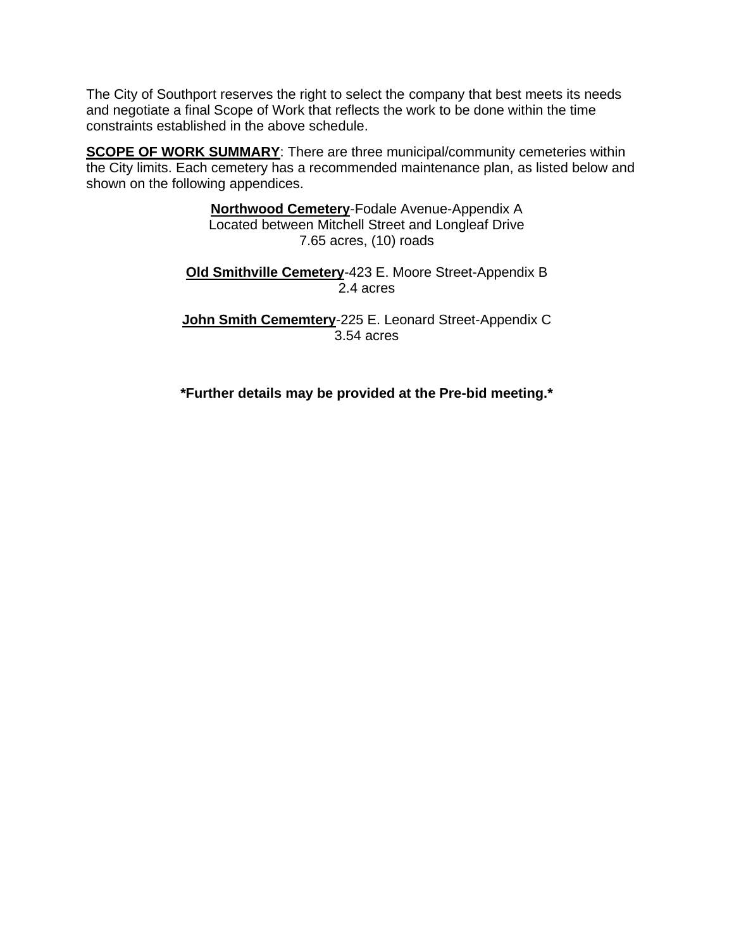The City of Southport reserves the right to select the company that best meets its needs and negotiate a final Scope of Work that reflects the work to be done within the time constraints established in the above schedule.

**SCOPE OF WORK SUMMARY:** There are three municipal/community cemeteries within the City limits. Each cemetery has a recommended maintenance plan, as listed below and shown on the following appendices.

> **Northwood Cemetery**-Fodale Avenue-Appendix A Located between Mitchell Street and Longleaf Drive 7.65 acres, (10) roads

**Old Smithville Cemetery**-423 E. Moore Street-Appendix B 2.4 acres

**John Smith Cememtery**-225 E. Leonard Street-Appendix C 3.54 acres

**\*Further details may be provided at the Pre-bid meeting.\***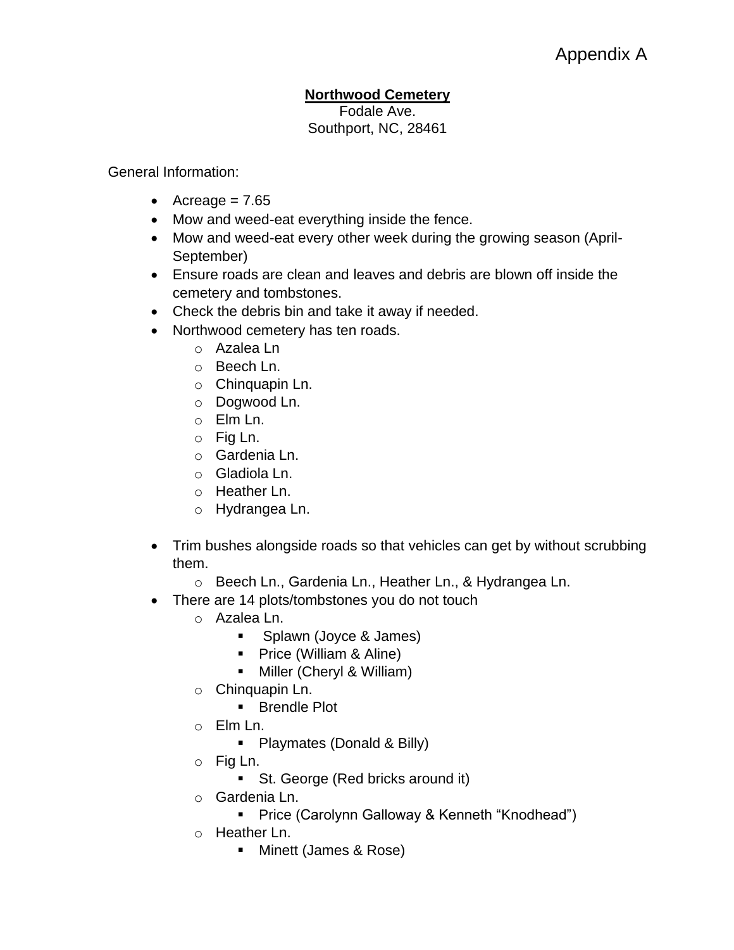## **Northwood Cemetery**

Fodale Ave. Southport, NC, 28461

General Information:

- Acreage  $= 7.65$
- Mow and weed-eat everything inside the fence.
- Mow and weed-eat every other week during the growing season (April-September)
- Ensure roads are clean and leaves and debris are blown off inside the cemetery and tombstones.
- Check the debris bin and take it away if needed.
- Northwood cemetery has ten roads.
	- o Azalea Ln
	- o Beech Ln.
	- o Chinquapin Ln.
	- o Dogwood Ln.
	- o Elm Ln.
	- o Fig Ln.
	- o Gardenia Ln.
	- o Gladiola Ln.
	- o Heather Ln.
	- o Hydrangea Ln.
- Trim bushes alongside roads so that vehicles can get by without scrubbing them.
	- o Beech Ln., Gardenia Ln., Heather Ln., & Hydrangea Ln.
- There are 14 plots/tombstones you do not touch
	- o Azalea Ln.
		- Splawn (Joyce & James)
		- Price (William & Aline)
		- Miller (Cheryl & William)
	- o Chinquapin Ln.
		- Brendle Plot
	- o Elm Ln.
		- Playmates (Donald & Billy)
	- o Fig Ln.
		- St. George (Red bricks around it)
	- o Gardenia Ln.
		- Price (Carolynn Galloway & Kenneth "Knodhead")
	- o Heather Ln.
		- Minett (James & Rose)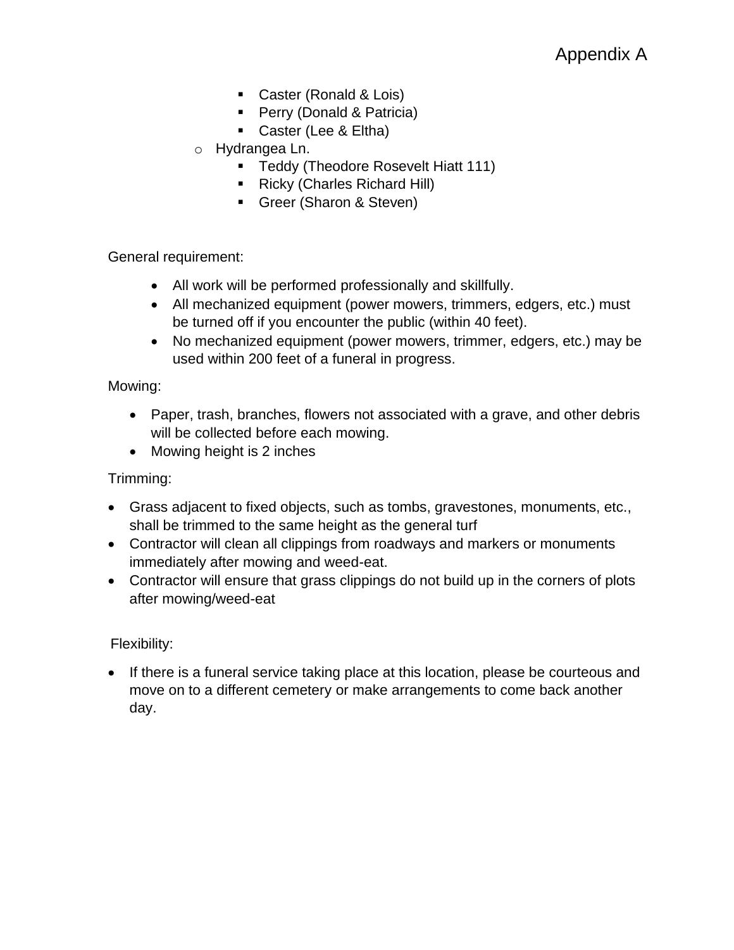- Caster (Ronald & Lois)
- Perry (Donald & Patricia)
- Caster (Lee & Eltha)
- o Hydrangea Ln.
	- **E** Teddy (Theodore Rosevelt Hiatt 111)
	- Ricky (Charles Richard Hill)
	- **E** Greer (Sharon & Steven)

General requirement:

- All work will be performed professionally and skillfully.
- All mechanized equipment (power mowers, trimmers, edgers, etc.) must be turned off if you encounter the public (within 40 feet).
- No mechanized equipment (power mowers, trimmer, edgers, etc.) may be used within 200 feet of a funeral in progress.

Mowing:

- Paper, trash, branches, flowers not associated with a grave, and other debris will be collected before each mowing.
- Mowing height is 2 inches

Trimming:

- Grass adjacent to fixed objects, such as tombs, gravestones, monuments, etc., shall be trimmed to the same height as the general turf
- Contractor will clean all clippings from roadways and markers or monuments immediately after mowing and weed-eat.
- Contractor will ensure that grass clippings do not build up in the corners of plots after mowing/weed-eat

Flexibility:

• If there is a funeral service taking place at this location, please be courteous and move on to a different cemetery or make arrangements to come back another day.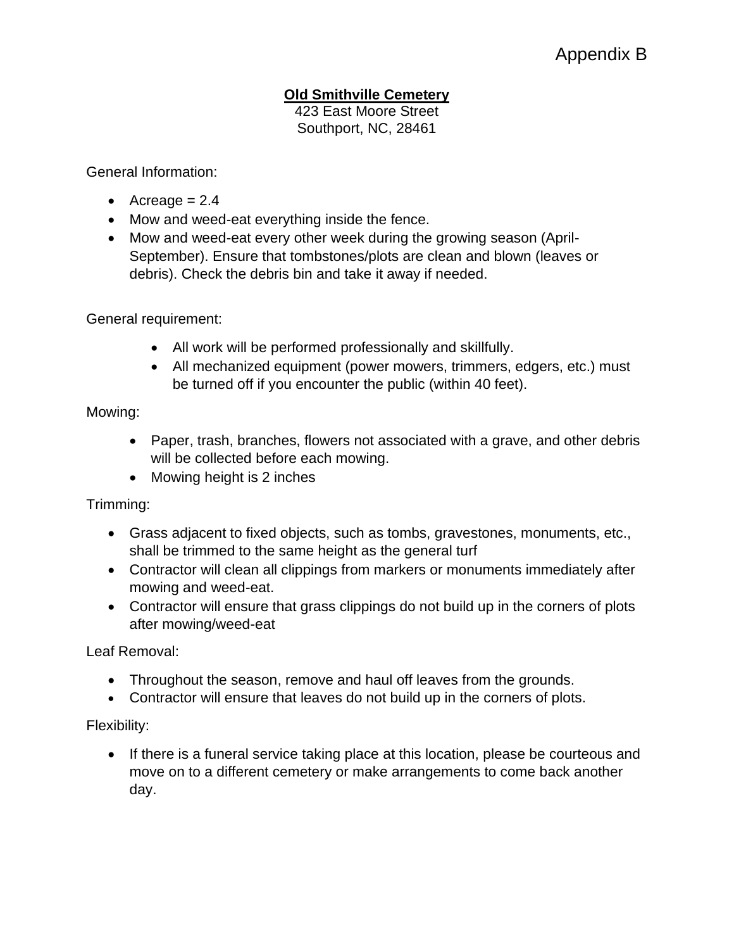# **Old Smithville Cemetery**

423 East Moore Street Southport, NC, 28461

General Information:

- Acreage  $= 2.4$
- Mow and weed-eat everything inside the fence.
- Mow and weed-eat every other week during the growing season (April-September). Ensure that tombstones/plots are clean and blown (leaves or debris). Check the debris bin and take it away if needed.

General requirement:

- All work will be performed professionally and skillfully.
- All mechanized equipment (power mowers, trimmers, edgers, etc.) must be turned off if you encounter the public (within 40 feet).

Mowing:

- Paper, trash, branches, flowers not associated with a grave, and other debris will be collected before each mowing.
- Mowing height is 2 inches

Trimming:

- Grass adjacent to fixed objects, such as tombs, gravestones, monuments, etc., shall be trimmed to the same height as the general turf
- Contractor will clean all clippings from markers or monuments immediately after mowing and weed-eat.
- Contractor will ensure that grass clippings do not build up in the corners of plots after mowing/weed-eat

Leaf Removal:

- Throughout the season, remove and haul off leaves from the grounds.
- Contractor will ensure that leaves do not build up in the corners of plots.

Flexibility:

• If there is a funeral service taking place at this location, please be courteous and move on to a different cemetery or make arrangements to come back another day.